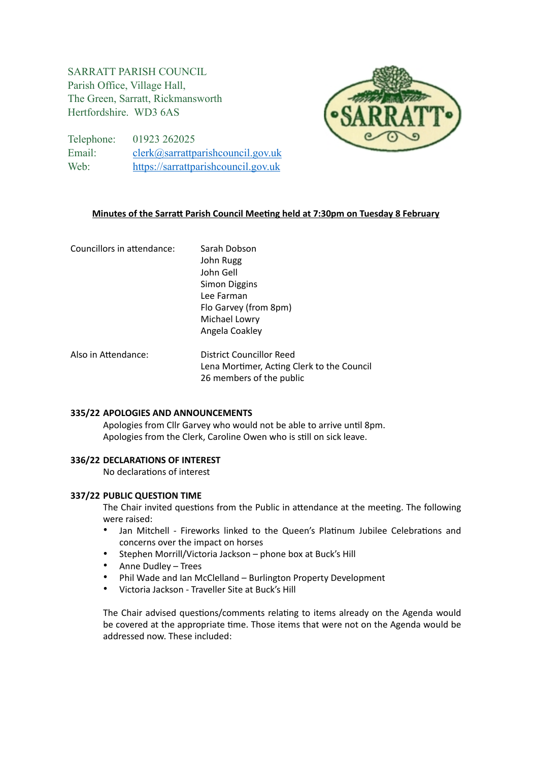# SARRATT PARISH COUNCIL Parish Office, Village Hall, The Green, Sarratt, Rickmansworth Hertfordshire. WD3 6AS



Telephone: 01923 262025 Email: [clerk@sarrattparishcouncil.gov.uk](mailto:clerk@sarrattparishcouncil.gov.uk) Web: <https://sarrattparishcouncil.gov.uk>

## **Minutes of the Sarratt Parish Council Meeting held at 7:30pm on Tuesday 8 February**

| Councillors in attendance: | Sarah Dobson<br>John Rugg<br>John Gell |
|----------------------------|----------------------------------------|
|                            | <b>Simon Diggins</b>                   |
|                            | Lee Farman                             |
|                            | Flo Garvey (from 8pm)                  |
|                            | Michael Lowry                          |
|                            | Angela Coakley                         |

Also in Attendance: District Councillor Reed Lena Mortimer, Acting Clerk to the Council 26 members of the public

## **335/22 APOLOGIES AND ANNOUNCEMENTS**

Apologies from Cllr Garvey who would not be able to arrive until 8pm. Apologies from the Clerk, Caroline Owen who is still on sick leave.

## **336/22 DECLARATIONS OF INTEREST**

No declarations of interest

## **337/22 PUBLIC QUESTION TIME**

The Chair invited questions from the Public in attendance at the meeting. The following were raised:

- Jan Mitchell Fireworks linked to the Queen's Platinum Jubilee Celebrations and concerns over the impact on horses
- Stephen Morrill/Victoria Jackson phone box at Buck's Hill
- Anne Dudley Trees
- Phil Wade and Ian McClelland Burlington Property Development
- Victoria Jackson Traveller Site at Buck's Hill

The Chair advised questions/comments relating to items already on the Agenda would be covered at the appropriate time. Those items that were not on the Agenda would be addressed now. These included: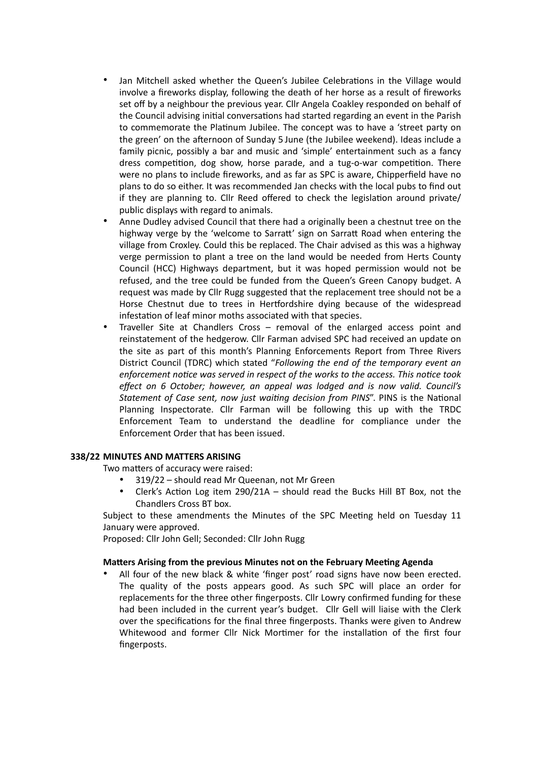- Jan Mitchell asked whether the Queen's Jubilee Celebrations in the Village would involve a fireworks display, following the death of her horse as a result of fireworks set off by a neighbour the previous year. Cllr Angela Coakley responded on behalf of the Council advising initial conversations had started regarding an event in the Parish to commemorate the Platinum Jubilee. The concept was to have a 'street party on the green' on the afternoon of Sunday 5 June (the Jubilee weekend). Ideas include a family picnic, possibly a bar and music and 'simple' entertainment such as a fancy dress competition, dog show, horse parade, and a tug-o-war competition. There were no plans to include fireworks, and as far as SPC is aware, Chipperfield have no plans to do so either. It was recommended Jan checks with the local pubs to find out if they are planning to. Cllr Reed offered to check the legislation around private/ public displays with regard to animals.
- Anne Dudley advised Council that there had a originally been a chestnut tree on the highway verge by the 'welcome to Sarratt' sign on Sarratt Road when entering the village from Croxley. Could this be replaced. The Chair advised as this was a highway verge permission to plant a tree on the land would be needed from Herts County Council (HCC) Highways department, but it was hoped permission would not be refused, and the tree could be funded from the Queen's Green Canopy budget. A request was made by Cllr Rugg suggested that the replacement tree should not be a Horse Chestnut due to trees in Hertfordshire dying because of the widespread infestation of leaf minor moths associated with that species.
- Traveller Site at Chandlers Cross removal of the enlarged access point and reinstatement of the hedgerow. Cllr Farman advised SPC had received an update on the site as part of this month's Planning Enforcements Report from Three Rivers District Council (TDRC) which stated "*Following the end of the temporary event an enforcement notice was served in respect of the works to the access. This notice took effect on 6 October; however, an appeal was lodged and is now valid. Council's Statement of Case sent, now just waiting decision from PINS*". PINS is the National Planning Inspectorate. Cllr Farman will be following this up with the TRDC Enforcement Team to understand the deadline for compliance under the Enforcement Order that has been issued.

## **338/22 MINUTES AND MATTERS ARISING**

Two matters of accuracy were raised:

- 319/22 should read Mr Queenan, not Mr Green
- Clerk's Action Log item 290/21A should read the Bucks Hill BT Box, not the Chandlers Cross BT box.

Subject to these amendments the Minutes of the SPC Meeting held on Tuesday 11 January were approved.

Proposed: Cllr John Gell; Seconded: Cllr John Rugg

## **Matters Arising from the previous Minutes not on the February Meeting Agenda**

• All four of the new black & white 'finger post' road signs have now been erected. The quality of the posts appears good. As such SPC will place an order for replacements for the three other fingerposts. Cllr Lowry confirmed funding for these had been included in the current year's budget. Cllr Gell will liaise with the Clerk over the specifications for the final three fingerposts. Thanks were given to Andrew Whitewood and former Cllr Nick Mortimer for the installation of the first four fingerposts.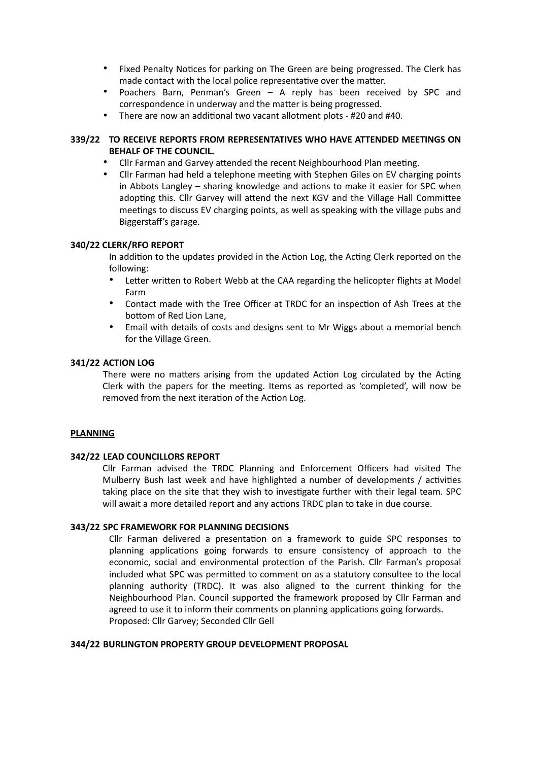- Fixed Penalty Notices for parking on The Green are being progressed. The Clerk has made contact with the local police representative over the matter.
- Poachers Barn, Penman's Green A reply has been received by SPC and correspondence in underway and the matter is being progressed.
- There are now an additional two vacant allotment plots #20 and #40.

## **339/22 TO RECEIVE REPORTS FROM REPRESENTATIVES WHO HAVE ATTENDED MEETINGS ON BEHALF OF THE COUNCIL.**

- Cllr Farman and Garvey attended the recent Neighbourhood Plan meeting.
- Cllr Farman had held a telephone meeting with Stephen Giles on EV charging points in Abbots Langley – sharing knowledge and actions to make it easier for SPC when adopting this. Cllr Garvey will attend the next KGV and the Village Hall Committee meetings to discuss EV charging points, as well as speaking with the village pubs and Biggerstaff's garage.

#### **340/22 CLERK/RFO REPORT**

In addition to the updates provided in the Action Log, the Acting Clerk reported on the following:

- Letter written to Robert Webb at the CAA regarding the helicopter flights at Model Farm
- Contact made with the Tree Officer at TRDC for an inspection of Ash Trees at the bottom of Red Lion Lane,
- Email with details of costs and designs sent to Mr Wiggs about a memorial bench for the Village Green.

#### **341/22 ACTION LOG**

There were no matters arising from the updated Action Log circulated by the Acting Clerk with the papers for the meeting. Items as reported as 'completed', will now be removed from the next iteration of the Action Log.

#### **PLANNING**

## **342/22 LEAD COUNCILLORS REPORT**

Cllr Farman advised the TRDC Planning and Enforcement Officers had visited The Mulberry Bush last week and have highlighted a number of developments / activities taking place on the site that they wish to investigate further with their legal team. SPC will await a more detailed report and any actions TRDC plan to take in due course.

## **343/22 SPC FRAMEWORK FOR PLANNING DECISIONS**

Cllr Farman delivered a presentation on a framework to guide SPC responses to planning applications going forwards to ensure consistency of approach to the economic, social and environmental protection of the Parish. Cllr Farman's proposal included what SPC was permitted to comment on as a statutory consultee to the local planning authority (TRDC). It was also aligned to the current thinking for the Neighbourhood Plan. Council supported the framework proposed by Cllr Farman and agreed to use it to inform their comments on planning applications going forwards. Proposed: Cllr Garvey; Seconded Cllr Gell

#### **344/22 BURLINGTON PROPERTY GROUP DEVELOPMENT PROPOSAL**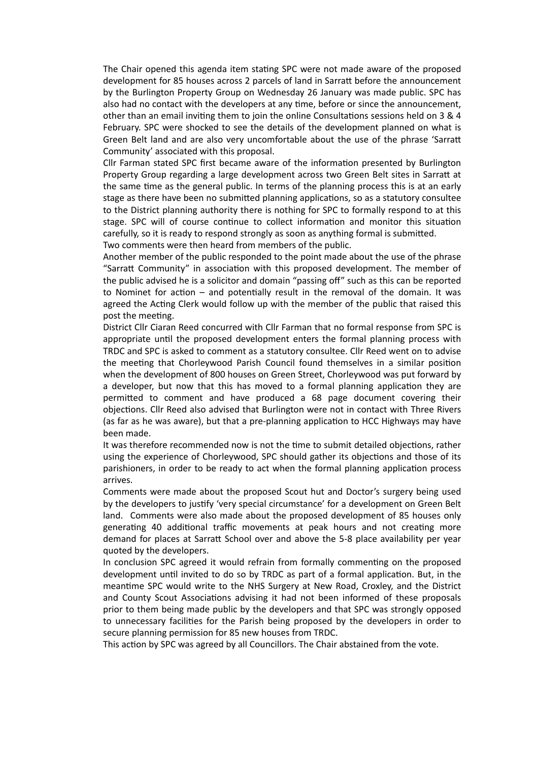The Chair opened this agenda item stating SPC were not made aware of the proposed development for 85 houses across 2 parcels of land in Sarratt before the announcement by the Burlington Property Group on Wednesday 26 January was made public. SPC has also had no contact with the developers at any time, before or since the announcement, other than an email inviting them to join the online Consultations sessions held on 3 & 4 February. SPC were shocked to see the details of the development planned on what is Green Belt land and are also very uncomfortable about the use of the phrase 'Sarratt Community' associated with this proposal.

Cllr Farman stated SPC first became aware of the information presented by Burlington Property Group regarding a large development across two Green Belt sites in Sarratt at the same time as the general public. In terms of the planning process this is at an early stage as there have been no submitted planning applications, so as a statutory consultee to the District planning authority there is nothing for SPC to formally respond to at this stage. SPC will of course continue to collect information and monitor this situation carefully, so it is ready to respond strongly as soon as anything formal is submitted.

Two comments were then heard from members of the public.

Another member of the public responded to the point made about the use of the phrase "Sarratt Community" in association with this proposed development. The member of the public advised he is a solicitor and domain "passing off" such as this can be reported to Nominet for action – and potentially result in the removal of the domain. It was agreed the Acting Clerk would follow up with the member of the public that raised this post the meeting.

District Cllr Ciaran Reed concurred with Cllr Farman that no formal response from SPC is appropriate until the proposed development enters the formal planning process with TRDC and SPC is asked to comment as a statutory consultee. Cllr Reed went on to advise the meeting that Chorleywood Parish Council found themselves in a similar position when the development of 800 houses on Green Street, Chorleywood was put forward by a developer, but now that this has moved to a formal planning application they are permitted to comment and have produced a 68 page document covering their objections. Cllr Reed also advised that Burlington were not in contact with Three Rivers (as far as he was aware), but that a pre-planning application to HCC Highways may have been made.

It was therefore recommended now is not the time to submit detailed objections, rather using the experience of Chorleywood, SPC should gather its objections and those of its parishioners, in order to be ready to act when the formal planning application process arrives.

Comments were made about the proposed Scout hut and Doctor's surgery being used by the developers to justify 'very special circumstance' for a development on Green Belt land. Comments were also made about the proposed development of 85 houses only generating 40 additional traffic movements at peak hours and not creating more demand for places at Sarratt School over and above the 5-8 place availability per year quoted by the developers.

In conclusion SPC agreed it would refrain from formally commenting on the proposed development until invited to do so by TRDC as part of a formal application. But, in the meantime SPC would write to the NHS Surgery at New Road, Croxley, and the District and County Scout Associations advising it had not been informed of these proposals prior to them being made public by the developers and that SPC was strongly opposed to unnecessary facilities for the Parish being proposed by the developers in order to secure planning permission for 85 new houses from TRDC.

This action by SPC was agreed by all Councillors. The Chair abstained from the vote.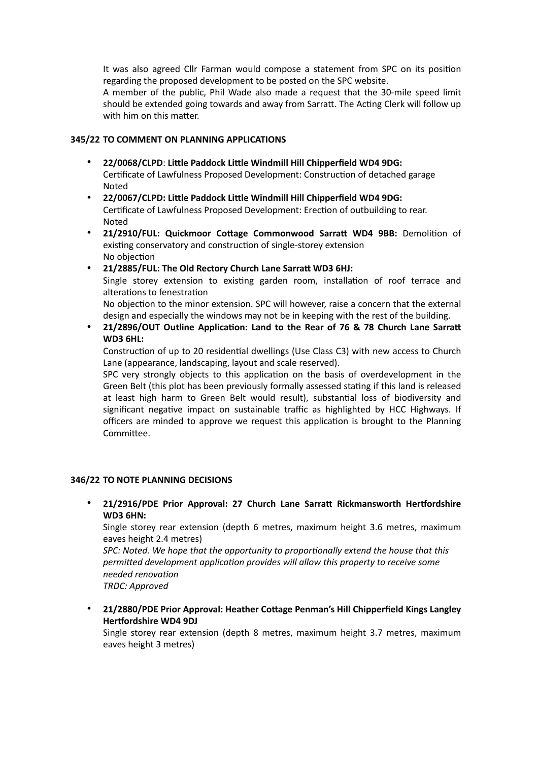It was also agreed Cllr Farman would compose a statement from SPC on its position regarding the proposed development to be posted on the SPC website.

A member of the public, Phil Wade also made a request that the 30-mile speed limit should be extended going towards and away from Sarratt. The Acting Clerk will follow up with him on this matter.

## **345/22 TO COMMENT ON PLANNING APPLICATIONS**

- **22/0068/CLPD**: **Little Paddock Little Windmill Hill Chipperfield WD4 9DG:**  Certificate of Lawfulness Proposed Development: Construction of detached garage Noted
- **22/0067/CLPD: Little Paddock Little Windmill Hill Chipperfield WD4 9DG:**  Certificate of Lawfulness Proposed Development: Erection of outbuilding to rear. Noted
- **21/2910/FUL: Quickmoor Cottage Commonwood Sarratt WD4 9BB:** Demolition of existing conservatory and construction of single-storey extension No objection
- **21/2885/FUL: The Old Rectory Church Lane Sarratt WD3 6HJ:**

Single storey extension to existing garden room, installation of roof terrace and alterations to fenestration

No objection to the minor extension. SPC will however, raise a concern that the external design and especially the windows may not be in keeping with the rest of the building.

• **21/2896/OUT Outline Application: Land to the Rear of 76 & 78 Church Lane Sarratt WD3 6HL:**

Construction of up to 20 residential dwellings (Use Class C3) with new access to Church Lane (appearance, landscaping, layout and scale reserved).

SPC very strongly objects to this application on the basis of overdevelopment in the Green Belt (this plot has been previously formally assessed stating if this land is released at least high harm to Green Belt would result), substantial loss of biodiversity and significant negative impact on sustainable traffic as highlighted by HCC Highways. If officers are minded to approve we request this application is brought to the Planning Committee.

## **346/22 TO NOTE PLANNING DECISIONS**

• **21/2916/PDE Prior Approval: 27 Church Lane Sarratt Rickmansworth Hertfordshire WD3 6HN:**

Single storey rear extension (depth 6 metres, maximum height 3.6 metres, maximum eaves height 2.4 metres)

*SPC: Noted. We hope that the opportunity to proportionally extend the house that this permitted development application provides will allow this property to receive some needed renovation TRDC: Approved*

• **21/2880/PDE Prior Approval: Heather Cottage Penman's Hill Chipperfield Kings Langley Hertfordshire WD4 9DJ**

Single storey rear extension (depth 8 metres, maximum height 3.7 metres, maximum eaves height 3 metres)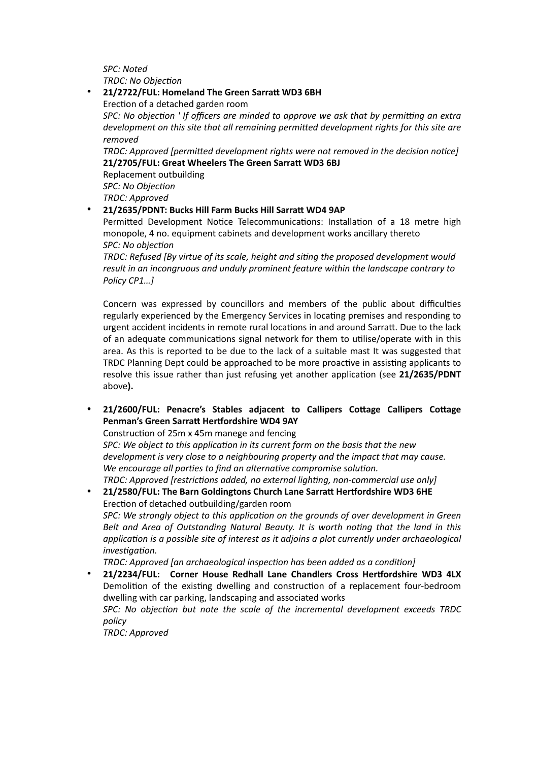*SPC: Noted TRDC: No Objection*

## • **21/2722/FUL: Homeland The Green Sarratt WD3 6BH** Erection of a detached garden room *SPC: No objection ' If officers are minded to approve we ask that by permitting an extra development on this site that all remaining permitted development rights for this site are removed TRDC: Approved [permitted development rights were not removed in the decision notice]* **21/2705/FUL: Great Wheelers The Green Sarratt WD3 6BJ** Replacement outbuilding *SPC: No Objection TRDC: Approved*

• **21/2635/PDNT: Bucks Hill Farm Bucks Hill Sarratt WD4 9AP**

Permitted Development Notice Telecommunications: Installation of a 18 metre high monopole, 4 no. equipment cabinets and development works ancillary thereto *SPC: No objection*

*TRDC: Refused [By virtue of its scale, height and siting the proposed development would result in an incongruous and unduly prominent feature within the landscape contrary to Policy CP1…]*

Concern was expressed by councillors and members of the public about difficulties regularly experienced by the Emergency Services in locating premises and responding to urgent accident incidents in remote rural locations in and around Sarratt. Due to the lack of an adequate communications signal network for them to utilise/operate with in this area. As this is reported to be due to the lack of a suitable mast It was suggested that TRDC Planning Dept could be approached to be more proactive in assisting applicants to resolve this issue rather than just refusing yet another application (see **21/2635/PDNT**  above**).** 

• **21/2600/FUL: Penacre's Stables adjacent to Callipers Cottage Callipers Cottage Penman's Green Sarratt Hertfordshire WD4 9AY**

Construction of 25m x 45m manege and fencing

*SPC: We object to this application in its current form on the basis that the new development is very close to a neighbouring property and the impact that may cause. We encourage all parties to find an alternative compromise solution.*

*TRDC: Approved [restrictions added, no external lighting, non-commercial use only]*

• **21/2580/FUL: The Barn Goldingtons Church Lane Sarratt Hertfordshire WD3 6HE** Erection of detached outbuilding/garden room *SPC: We strongly object to this application on the grounds of over development in Green Belt and Area of Outstanding Natural Beauty. It is worth noting that the land in this application is a possible site of interest as it adjoins a plot currently under archaeological investigation.*

*TRDC: Approved [an archaeological inspection has been added as a condition]*

• **21/2234/FUL: Corner House Redhall Lane Chandlers Cross Hertfordshire WD3 4LX** Demolition of the existing dwelling and construction of a replacement four-bedroom dwelling with car parking, landscaping and associated works *SPC: No objection but note the scale of the incremental development exceeds TRDC policy*

*TRDC: Approved*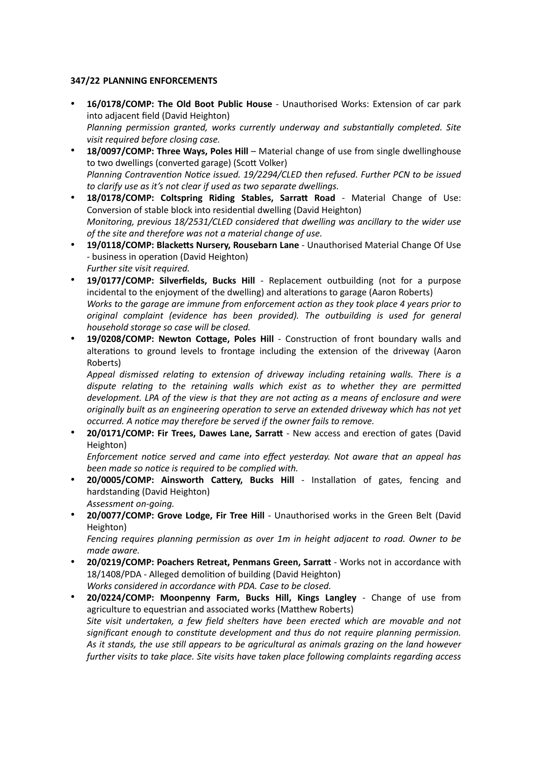## **347/22 PLANNING ENFORCEMENTS**

- **16/0178/COMP: The Old Boot Public House**  Unauthorised Works: Extension of car park into adjacent field (David Heighton) *Planning permission granted, works currently underway and substantially completed. Site visit required before closing case.*
- **18/0097/COMP: Three Ways, Poles Hill** Material change of use from single dwellinghouse to two dwellings (converted garage) (Scott Volker) *Planning Contravention Notice issued. 19/2294/CLED then refused. Further PCN to be issued to clarify use as it's not clear if used as two separate dwellings.*
- **18/0178/COMP: Coltspring Riding Stables, Sarratt Road** Material Change of Use: Conversion of stable block into residential dwelling (David Heighton) *Monitoring, previous 18/2531/CLED considered that dwelling was ancillary to the wider use of the site and therefore was not a material change of use.*
- **19/0118/COMP: Blacketts Nursery, Rousebarn Lane** Unauthorised Material Change Of Use - business in operation (David Heighton) *Further site visit required.*
- **19/0177/COMP: Silverfields, Bucks Hill** Replacement outbuilding (not for a purpose incidental to the enjoyment of the dwelling) and alterations to garage (Aaron Roberts) *Works to the garage are immune from enforcement action as they took place 4 years prior to original complaint (evidence has been provided). The outbuilding is used for general household storage so case will be closed.*
- **19/0208/COMP: Newton Cottage, Poles Hill** Construction of front boundary walls and alterations to ground levels to frontage including the extension of the driveway (Aaron Roberts)

*Appeal dismissed relating to extension of driveway including retaining walls. There is a dispute relating to the retaining walls which exist as to whether they are permitted development. LPA of the view is that they are not acting as a means of enclosure and were originally built as an engineering operation to serve an extended driveway which has not yet occurred. A notice may therefore be served if the owner fails to remove.*

• **20/0171/COMP: Fir Trees, Dawes Lane, Sarrat** - New access and erection of gates (David Heighton)

*Enforcement notice served and came into effect yesterday. Not aware that an appeal has been made so notice is required to be complied with.* 

- **20/0005/COMP: Ainsworth Cattery, Bucks Hill** Installation of gates, fencing and hardstanding (David Heighton) *Assessment on-going.*
- **20/0077/COMP: Grove Lodge, Fir Tree Hill** Unauthorised works in the Green Belt (David Heighton)

*Fencing requires planning permission as over 1m in height adjacent to road. Owner to be made aware.*

- **20/0219/COMP: Poachers Retreat, Penmans Green, Sarrat** Works not in accordance with 18/1408/PDA - Alleged demolition of building (David Heighton) *Works considered in accordance with PDA. Case to be closed.*
- **20/0224/COMP: Moonpenny Farm, Bucks Hill, Kings Langley** Change of use from agriculture to equestrian and associated works (Matthew Roberts) *Site visit undertaken, a few field shelters have been erected which are movable and not significant enough to constitute development and thus do not require planning permission. As it stands, the use still appears to be agricultural as animals grazing on the land however further visits to take place. Site visits have taken place following complaints regarding access*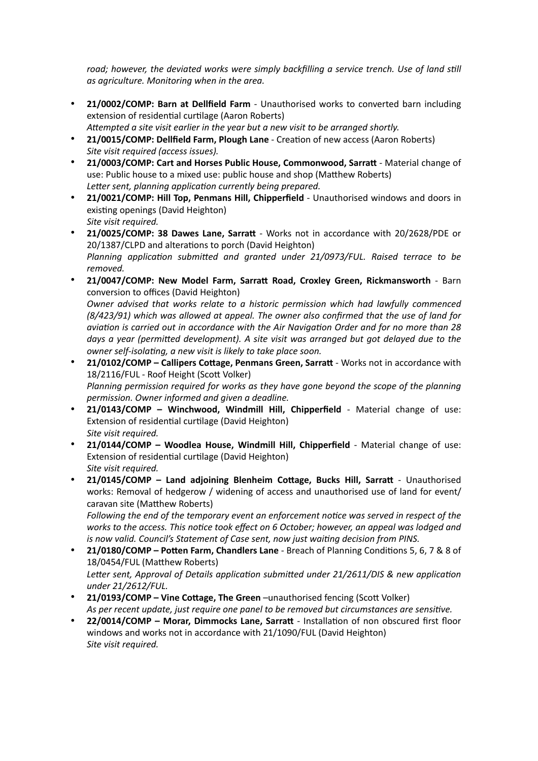road; however, the deviated works were simply backfilling a service trench. Use of land still *as agriculture. Monitoring when in the area.*

- **21/0002/COMP: Barn at Dellfield Farm** Unauthorised works to converted barn including extension of residential curtilage (Aaron Roberts) *Attempted a site visit earlier in the year but a new visit to be arranged shortly.*
- **21/0015/COMP: Dellfield Farm, Plough Lane** Creation of new access (Aaron Roberts) *Site visit required (access issues).*
- **21/0003/COMP: Cart and Horses Public House, Commonwood, Sarrat** Material change of use: Public house to a mixed use: public house and shop (Matthew Roberts) *Letter sent, planning application currently being prepared.*
- **21/0021/COMP: Hill Top, Penmans Hill, Chipperfield**  Unauthorised windows and doors in existing openings (David Heighton) *Site visit required.*
- **21/0025/COMP: 38 Dawes Lane, Sarrat** Works not in accordance with 20/2628/PDE or 20/1387/CLPD and alterations to porch (David Heighton) *Planning application submitted and granted under 21/0973/FUL. Raised terrace to be removed.*
- **21/0047/COMP: New Model Farm, Sarratt Road, Croxley Green, Rickmansworth** Barn conversion to offices (David Heighton) *Owner advised that works relate to a historic permission which had lawfully commenced (8/423/91) which was allowed at appeal. The owner also confirmed that the use of land for aviation is carried out in accordance with the Air Navigation Order and for no more than 28 days a year (permitted development). A site visit was arranged but got delayed due to the owner self-isolating, a new visit is likely to take place soon.*
- **21/0102/COMP Callipers Cottage, Penmans Green, Sarrat** Works not in accordance with 18/2116/FUL - Roof Height (Scott Volker) *Planning permission required for works as they have gone beyond the scope of the planning permission. Owner informed and given a deadline.*
- **21/0143/COMP Winchwood, Windmill Hill, Chipperfield** Material change of use: Extension of residential curtilage (David Heighton) *Site visit required.*
- **21/0144/COMP Woodlea House, Windmill Hill, Chipperfield** Material change of use: Extension of residential curtilage (David Heighton) *Site visit required.*
- **21/0145/COMP Land adjoining Blenheim Cottage, Bucks Hill, Sarrat** Unauthorised works: Removal of hedgerow / widening of access and unauthorised use of land for event/ caravan site (Matthew Roberts)

*Following the end of the temporary event an enforcement notice was served in respect of the works to the access. This notice took effect on 6 October; however, an appeal was lodged and is now valid. Council's Statement of Case sent, now just waiting decision from PINS.*

- **21/0180/COMP Potten Farm, Chandlers Lane** Breach of Planning Conditions 5, 6, 7 & 8 of 18/0454/FUL (Matthew Roberts) *Letter sent, Approval of Details application submitted under 21/2611/DIS & new application under 21/2612/FUL.*
- **21/0193/COMP Vine Cottage, The Green** –unauthorised fencing (Scott Volker) *As per recent update, just require one panel to be removed but circumstances are sensitive.*
- **22/0014/COMP Morar, Dimmocks Lane, Sarrat** Installation of non obscured first floor windows and works not in accordance with 21/1090/FUL (David Heighton) *Site visit required.*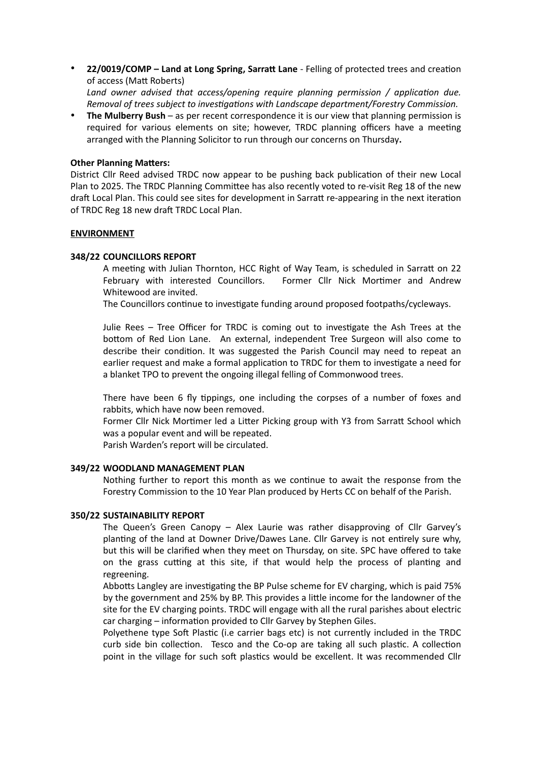• **22/0019/COMP – Land at Long Spring, Sarratt Lane** - Felling of protected trees and creation of access (Matt Roberts) *Land owner advised that access/opening require planning permission / application due.* 

*Removal of trees subject to investigations with Landscape department/Forestry Commission.*

• **The Mulberry Bush** – as per recent correspondence it is our view that planning permission is required for various elements on site; however, TRDC planning officers have a meeting arranged with the Planning Solicitor to run through our concerns on Thursday**.**

#### **Other Planning Matters:**

District Cllr Reed advised TRDC now appear to be pushing back publication of their new Local Plan to 2025. The TRDC Planning Committee has also recently voted to re-visit Reg 18 of the new draft Local Plan. This could see sites for development in Sarratt re-appearing in the next iteration of TRDC Reg 18 new draft TRDC Local Plan.

#### **ENVIRONMENT**

#### **348/22 COUNCILLORS REPORT**

A meeting with Julian Thornton, HCC Right of Way Team, is scheduled in Sarratt on 22 February with interested Councillors. Former Cllr Nick Mortimer and Andrew Whitewood are invited.

The Councillors continue to investigate funding around proposed footpaths/cycleways.

Julie Rees – Tree Officer for TRDC is coming out to investigate the Ash Trees at the bottom of Red Lion Lane. An external, independent Tree Surgeon will also come to describe their condition. It was suggested the Parish Council may need to repeat an earlier request and make a formal application to TRDC for them to investigate a need for a blanket TPO to prevent the ongoing illegal felling of Commonwood trees.

There have been 6 fly tippings, one including the corpses of a number of foxes and rabbits, which have now been removed.

Former Cllr Nick Mortimer led a Litter Picking group with Y3 from Sarratt School which was a popular event and will be repeated.

Parish Warden's report will be circulated.

#### **349/22 WOODLAND MANAGEMENT PLAN**

Nothing further to report this month as we continue to await the response from the Forestry Commission to the 10 Year Plan produced by Herts CC on behalf of the Parish.

#### **350/22 SUSTAINABILITY REPORT**

The Queen's Green Canopy – Alex Laurie was rather disapproving of Cllr Garvey's planting of the land at Downer Drive/Dawes Lane. Cllr Garvey is not entirely sure why, but this will be clarified when they meet on Thursday, on site. SPC have offered to take on the grass cutting at this site, if that would help the process of planting and regreening.

Abbotts Langley are investigating the BP Pulse scheme for EV charging, which is paid 75% by the government and 25% by BP. This provides a little income for the landowner of the site for the EV charging points. TRDC will engage with all the rural parishes about electric car charging – information provided to Cllr Garvey by Stephen Giles.

Polyethene type Soft Plastic (i.e carrier bags etc) is not currently included in the TRDC curb side bin collection. Tesco and the Co-op are taking all such plastic. A collection point in the village for such soft plastics would be excellent. It was recommended Cllr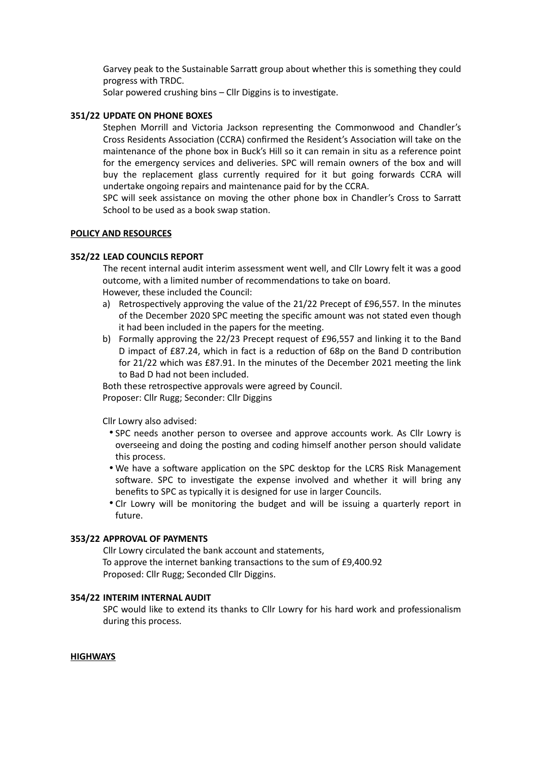Garvey peak to the Sustainable Sarratt group about whether this is something they could progress with TRDC.

Solar powered crushing bins – Cllr Diggins is to investigate.

#### **351/22 UPDATE ON PHONE BOXES**

Stephen Morrill and Victoria Jackson representing the Commonwood and Chandler's Cross Residents Association (CCRA) confirmed the Resident's Association will take on the maintenance of the phone box in Buck's Hill so it can remain in situ as a reference point for the emergency services and deliveries. SPC will remain owners of the box and will buy the replacement glass currently required for it but going forwards CCRA will undertake ongoing repairs and maintenance paid for by the CCRA.

SPC will seek assistance on moving the other phone box in Chandler's Cross to Sarratt School to be used as a book swap station.

#### **POLICY AND RESOURCES**

#### **352/22 LEAD COUNCILS REPORT**

The recent internal audit interim assessment went well, and Cllr Lowry felt it was a good outcome, with a limited number of recommendations to take on board. However, these included the Council:

- a) Retrospectively approving the value of the 21/22 Precept of £96,557. In the minutes of the December 2020 SPC meeting the specific amount was not stated even though it had been included in the papers for the meeting.
- b) Formally approving the 22/23 Precept request of £96,557 and linking it to the Band D impact of £87.24, which in fact is a reduction of 68p on the Band D contribution for 21/22 which was £87.91. In the minutes of the December 2021 meeting the link to Bad D had not been included.

Both these retrospective approvals were agreed by Council. Proposer: Cllr Rugg; Seconder: Cllr Diggins

Cllr Lowry also advised:

- SPC needs another person to oversee and approve accounts work. As Cllr Lowry is overseeing and doing the posting and coding himself another person should validate this process.
- We have a software application on the SPC desktop for the LCRS Risk Management software. SPC to investigate the expense involved and whether it will bring any benefits to SPC as typically it is designed for use in larger Councils.
- Clr Lowry will be monitoring the budget and will be issuing a quarterly report in future.

## **353/22 APPROVAL OF PAYMENTS**

Cllr Lowry circulated the bank account and statements, To approve the internet banking transactions to the sum of £9,400.92 Proposed: Cllr Rugg; Seconded Cllr Diggins.

#### **354/22 INTERIM INTERNAL AUDIT**

SPC would like to extend its thanks to Cllr Lowry for his hard work and professionalism during this process.

#### **HIGHWAYS**